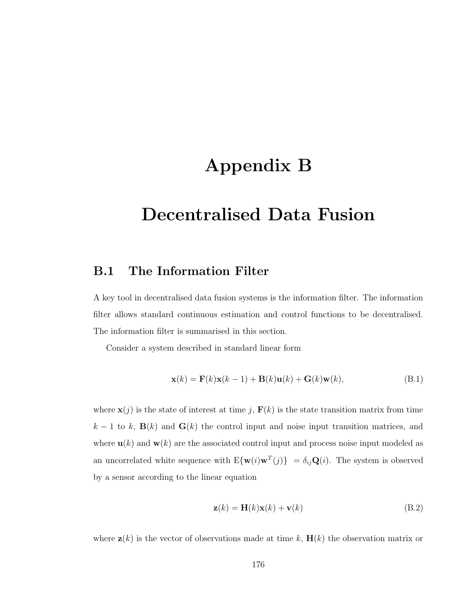## Appendix B

## Decentralised Data Fusion

## B.1 The Information Filter

A key tool in decentralised data fusion systems is the information filter. The information filter allows standard continuous estimation and control functions to be decentralised. The information filter is summarised in this section.

Consider a system described in standard linear form

$$
\mathbf{x}(k) = \mathbf{F}(k)\mathbf{x}(k-1) + \mathbf{B}(k)\mathbf{u}(k) + \mathbf{G}(k)\mathbf{w}(k),
$$
 (B.1)

where  $\mathbf{x}(j)$  is the state of interest at time j,  $\mathbf{F}(k)$  is the state transition matrix from time  $k-1$  to k,  $\mathbf{B}(k)$  and  $\mathbf{G}(k)$  the control input and noise input transition matrices, and where  $\mathbf{u}(k)$  and  $\mathbf{w}(k)$  are the associated control input and process noise input modeled as an uncorrelated white sequence with  $E{\{\mathbf{w}(i)\mathbf{w}^T(j)}\} = \delta_{ij}\mathbf{Q}(i)$ . The system is observed by a sensor according to the linear equation

$$
\mathbf{z}(k) = \mathbf{H}(k)\mathbf{x}(k) + \mathbf{v}(k)
$$
 (B.2)

where  $z(k)$  is the vector of observations made at time k,  $H(k)$  the observation matrix or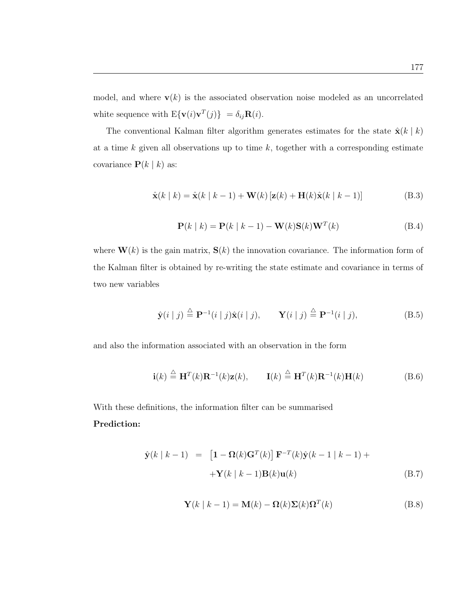model, and where  $\mathbf{v}(k)$  is the associated observation noise modeled as an uncorrelated white sequence with  $\mathrm{E}\{\mathbf{v}(i)\mathbf{v}^T(j)\}$  =  $\delta_{ij}\mathbf{R}(i)$ .

The conventional Kalman filter algorithm generates estimates for the state  $\hat{\mathbf{x}}(k \mid k)$ at a time  $k$  given all observations up to time  $k$ , together with a corresponding estimate covariance  $\mathbf{P}(k | k)$  as:

$$
\hat{\mathbf{x}}(k | k) = \hat{\mathbf{x}}(k | k - 1) + \mathbf{W}(k) [\mathbf{z}(k) + \mathbf{H}(k)\hat{\mathbf{x}}(k | k - 1)]
$$
\n(B.3)

$$
\mathbf{P}(k | k) = \mathbf{P}(k | k - 1) - \mathbf{W}(k)\mathbf{S}(k)\mathbf{W}^T(k)
$$
 (B.4)

where  $\mathbf{W}(k)$  is the gain matrix,  $\mathbf{S}(k)$  the innovation covariance. The information form of the Kalman filter is obtained by re-writing the state estimate and covariance in terms of two new variables

$$
\hat{\mathbf{y}}(i | j) \stackrel{\triangle}{=} \mathbf{P}^{-1}(i | j) \hat{\mathbf{x}}(i | j), \qquad \mathbf{Y}(i | j) \stackrel{\triangle}{=} \mathbf{P}^{-1}(i | j), \tag{B.5}
$$

and also the information associated with an observation in the form

$$
\mathbf{i}(k) \stackrel{\triangle}{=} \mathbf{H}^T(k)\mathbf{R}^{-1}(k)\mathbf{z}(k), \qquad \mathbf{I}(k) \stackrel{\triangle}{=} \mathbf{H}^T(k)\mathbf{R}^{-1}(k)\mathbf{H}(k) \tag{B.6}
$$

With these definitions, the information filter can be summarised Prediction:

$$
\hat{\mathbf{y}}(k | k - 1) = [\mathbf{1} - \mathbf{\Omega}(k)\mathbf{G}^T(k)] \mathbf{F}^{-T}(k)\hat{\mathbf{y}}(k - 1 | k - 1) +
$$
  
 
$$
+ \mathbf{Y}(k | k - 1)\mathbf{B}(k)\mathbf{u}(k)
$$
(B.7)

$$
\mathbf{Y}(k \mid k-1) = \mathbf{M}(k) - \mathbf{\Omega}(k)\mathbf{\Sigma}(k)\mathbf{\Omega}^{T}(k)
$$
(B.8)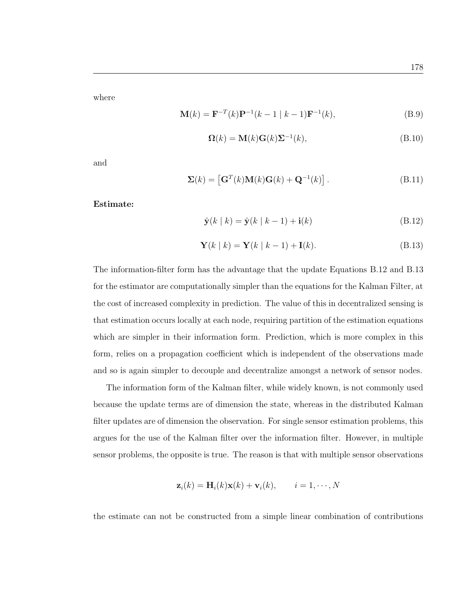where

$$
\mathbf{M}(k) = \mathbf{F}^{-T}(k)\mathbf{P}^{-1}(k-1 | k-1)\mathbf{F}^{-1}(k),
$$
\n(B.9)

$$
\mathbf{\Omega}(k) = \mathbf{M}(k)\mathbf{G}(k)\mathbf{\Sigma}^{-1}(k),\tag{B.10}
$$

and

$$
\Sigma(k) = \left[ \mathbf{G}^T(k) \mathbf{M}(k) \mathbf{G}(k) + \mathbf{Q}^{-1}(k) \right]. \tag{B.11}
$$

Estimate:

$$
\hat{\mathbf{y}}(k \mid k) = \hat{\mathbf{y}}(k \mid k-1) + \mathbf{i}(k) \tag{B.12}
$$

$$
\mathbf{Y}(k \mid k) = \mathbf{Y}(k \mid k-1) + \mathbf{I}(k). \tag{B.13}
$$

The information-filter form has the advantage that the update Equations B.12 and B.13 for the estimator are computationally simpler than the equations for the Kalman Filter, at the cost of increased complexity in prediction. The value of this in decentralized sensing is that estimation occurs locally at each node, requiring partition of the estimation equations which are simpler in their information form. Prediction, which is more complex in this form, relies on a propagation coefficient which is independent of the observations made and so is again simpler to decouple and decentralize amongst a network of sensor nodes.

The information form of the Kalman filter, while widely known, is not commonly used because the update terms are of dimension the state, whereas in the distributed Kalman filter updates are of dimension the observation. For single sensor estimation problems, this argues for the use of the Kalman filter over the information filter. However, in multiple sensor problems, the opposite is true. The reason is that with multiple sensor observations

$$
\mathbf{z}_i(k) = \mathbf{H}_i(k)\mathbf{x}(k) + \mathbf{v}_i(k), \qquad i = 1, \cdots, N
$$

the estimate can not be constructed from a simple linear combination of contributions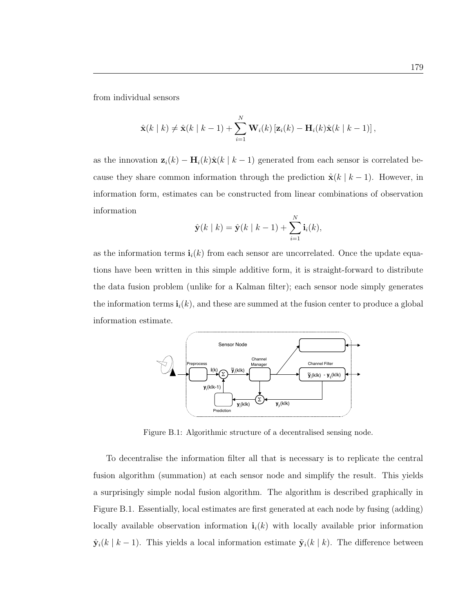from individual sensors

$$
\hat{\mathbf{x}}(k | k) \neq \hat{\mathbf{x}}(k | k - 1) + \sum_{i=1}^{N} \mathbf{W}_i(k) \left[ \mathbf{z}_i(k) - \mathbf{H}_i(k) \hat{\mathbf{x}}(k | k - 1) \right],
$$

as the innovation  $\mathbf{z}_i(k) - \mathbf{H}_i(k)\hat{\mathbf{x}}(k | k - 1)$  generated from each sensor is correlated because they share common information through the prediction  $\hat{\mathbf{x}}(k \mid k-1)$ . However, in information form, estimates can be constructed from linear combinations of observation information

$$
\hat{\mathbf{y}}(k | k) = \hat{\mathbf{y}}(k | k - 1) + \sum_{i=1}^{N} \mathbf{i}_{i}(k),
$$

as the information terms  $\mathbf{i}_i(k)$  from each sensor are uncorrelated. Once the update equations have been written in this simple additive form, it is straight-forward to distribute the data fusion problem (unlike for a Kalman filter); each sensor node simply generates the information terms  $\mathbf{i}_i(k)$ , and these are summed at the fusion center to produce a global information estimate.



Figure B.1: Algorithmic structure of a decentralised sensing node.

To decentralise the information filter all that is necessary is to replicate the central fusion algorithm (summation) at each sensor node and simplify the result. This yields a surprisingly simple nodal fusion algorithm. The algorithm is described graphically in Figure B.1. Essentially, local estimates are first generated at each node by fusing (adding) locally available observation information  $\mathbf{i}_i(k)$  with locally available prior information  $\hat{\mathbf{y}}_i(k \mid k-1)$ . This yields a local information estimate  $\tilde{\mathbf{y}}_i(k \mid k)$ . The difference between